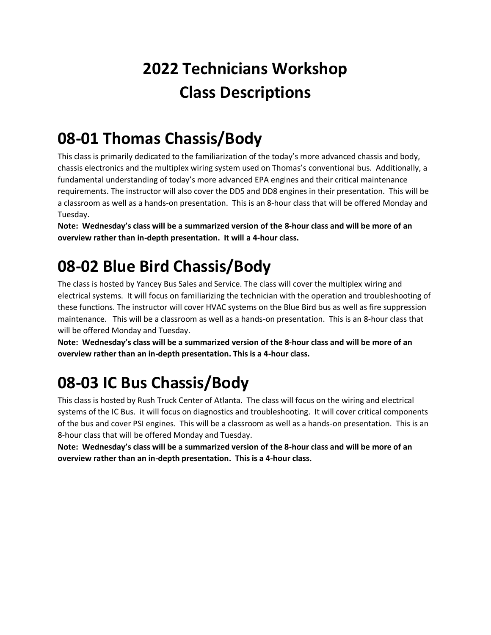## **2022 Technicians Workshop Class Descriptions**

#### **08-01 Thomas Chassis/Body**

This class is primarily dedicated to the familiarization of the today's more advanced chassis and body, chassis electronics and the multiplex wiring system used on Thomas's conventional bus. Additionally, a fundamental understanding of today's more advanced EPA engines and their critical maintenance requirements. The instructor will also cover the DD5 and DD8 engines in their presentation. This will be a classroom as well as a hands-on presentation. This is an 8-hour class that will be offered Monday and Tuesday.

**Note: Wednesday's class will be a summarized version of the 8-hour class and will be more of an overview rather than in-depth presentation. It will a 4-hour class.**

### **08-02 Blue Bird Chassis/Body**

The class is hosted by Yancey Bus Sales and Service. The class will cover the multiplex wiring and electrical systems. It will focus on familiarizing the technician with the operation and troubleshooting of these functions. The instructor will cover HVAC systems on the Blue Bird bus as well as fire suppression maintenance. This will be a classroom as well as a hands-on presentation. This is an 8-hour class that will be offered Monday and Tuesday.

**Note: Wednesday's class will be a summarized version of the 8-hour class and will be more of an overview rather than an in-depth presentation. This is a 4-hour class.**

### **08-03 IC Bus Chassis/Body**

This class is hosted by Rush Truck Center of Atlanta. The class will focus on the wiring and electrical systems of the IC Bus. it will focus on diagnostics and troubleshooting. It will cover critical components of the bus and cover PSI engines. This will be a classroom as well as a hands-on presentation. This is an 8-hour class that will be offered Monday and Tuesday.

**Note: Wednesday's class will be a summarized version of the 8-hour class and will be more of an overview rather than an in-depth presentation. This is a 4-hour class.**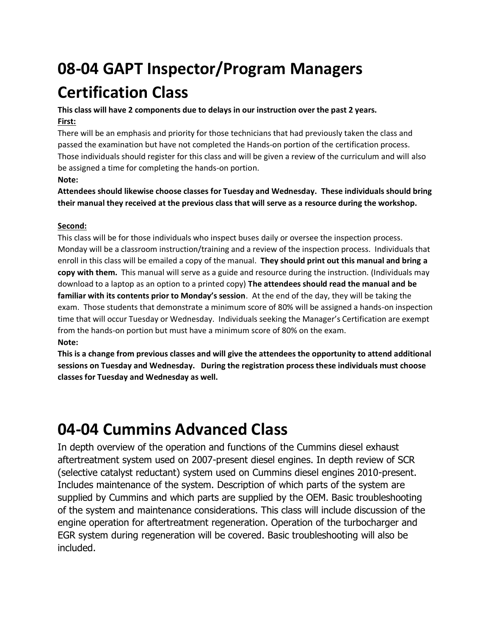## **08-04 GAPT Inspector/Program Managers Certification Class**

#### **This class will have 2 components due to delays in our instruction over the past 2 years. First:**

There will be an emphasis and priority for those technicians that had previously taken the class and passed the examination but have not completed the Hands-on portion of the certification process. Those individuals should register for this class and will be given a review of the curriculum and will also be assigned a time for completing the hands-on portion.

#### **Note:**

**Attendees should likewise choose classes for Tuesday and Wednesday. These individuals should bring their manual they received at the previous class that will serve as a resource during the workshop.**

#### **Second:**

This class will be for those individuals who inspect buses daily or oversee the inspection process. Monday will be a classroom instruction/training and a review of the inspection process. Individuals that enroll in this class will be emailed a copy of the manual. **They should print out this manual and bring a copy with them.** This manual will serve as a guide and resource during the instruction. (Individuals may download to a laptop as an option to a printed copy) **The attendees should read the manual and be familiar with its contents prior to Monday's session**. At the end of the day, they will be taking the exam. Those students that demonstrate a minimum score of 80% will be assigned a hands-on inspection time that will occur Tuesday or Wednesday. Individuals seeking the Manager's Certification are exempt from the hands-on portion but must have a minimum score of 80% on the exam. **Note:**

**This is a change from previous classes and will give the attendees the opportunity to attend additional sessions on Tuesday and Wednesday. During the registration process these individuals must choose classes for Tuesday and Wednesday as well.** 

### **04-04 Cummins Advanced Class**

In depth overview of the operation and functions of the Cummins diesel exhaust aftertreatment system used on 2007-present diesel engines. In depth review of SCR (selective catalyst reductant) system used on Cummins diesel engines 2010-present. Includes maintenance of the system. Description of which parts of the system are supplied by Cummins and which parts are supplied by the OEM. Basic troubleshooting of the system and maintenance considerations. This class will include discussion of the engine operation for aftertreatment regeneration. Operation of the turbocharger and EGR system during regeneration will be covered. Basic troubleshooting will also be included.